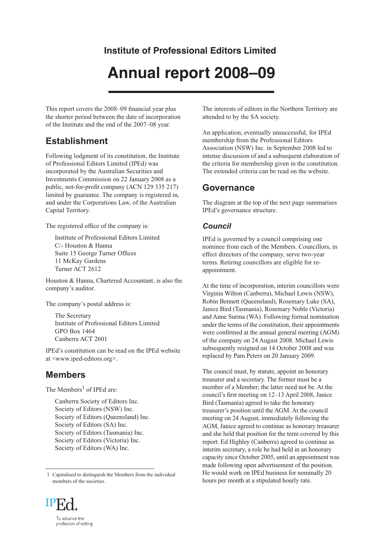# **Institute of Professional Editors Limited**

# **Annual report 2008–09**

This report covers the 2008–09 financial year plus the shorter period between the date of incorporation of the Institute and the end of the 2007–08 year.

## **Establishment**

Following lodgment of its constitution, the Institute of Professional Editors Limited (IPEd) was incorporated by the Australian Securities and Investments Commission on 22 January 2008 as a public, not-for-profit company (ACN 129 335 217) limited by guarantee. The company is registered in, and under the Corporations Law, of the Australian Capital Territory.

The registered office of the company is:

Institute of Professional Editors Limited C/- Houston & Hanna Suite 15 George Turner Offices 11 McKay Gardens Turner ACT 2612

Houston & Hanna, Chartered Accountant, is also the company's auditor.

The company's postal address is:

The Secretary Institute of Professional Editors Limited GPO Box 1464 Canberra ACT 2601

IPEd's constitution can be read on the IPEd website at <www.iped-editors.org>.

## **Members**

The Members<sup>1</sup> of IPEd are:

Canberra Society of Editors Inc. Society of Editors (NSW) Inc. Society of Editors (Queensland) Inc. Society of Editors (SA) Inc. Society of Editors (Tasmania) Inc. Society of Editors (Victoria) Inc. Society of Editors (WA) Inc.

<sup>1</sup> Capitalised to distinguish the Members from the individual members of the societies.



The interests of editors in the Northern Territory are attended to by the SA society.

An application, eventually unsuccessful, for IPEd membership from the Professional Editors Association (NSW) Inc. in September 2008 led to intense discussion of and a subsequent elaboration of the criteria for membership given in the constitution. The extended criteria can be read on the website.

### **Governance**

The diagram at the top of the next page summarises IPEd's governance structure.

#### *Council*

IPEd is governed by a council comprising one nominee from each of the Members. Councillors, in effect directors of the company, serve two-year terms. Retiring councillors are eligible for reappointment.

At the time of incorporation, interim councillors were Virginia Wilton (Canberra), Michael Lewis (NSW), Robin Bennett (Queensland), Rosemary Luke (SA), Janice Bird (Tasmania), Rosemary Noble (Victoria) and Anne Surma (WA). Following formal nomination under the terms of the constitution, their appointments were confirmed at the annual general meeting (AGM) of the company on 24 August 2008. Michael Lewis subsequently resigned on 14 October 2008 and was replaced by Pam Peters on 20 January 2009.

The council must, by statute, appoint an honorary treasurer and a secretary. The former must be a member of a Member; the latter need not be. At the council's first meeting on 12–13 April 2008, Janice Bird (Tasmania) agreed to take the honorary treasurer's position until the AGM. At the council meeting on 24 August, immediately following the AGM, Janice agreed to continue as honorary treasurer and she held that position for the term covered by this report. Ed Highley (Canberra) agreed to continue as interim secretary, a role he had held in an honorary capacity since October 2005, until an appointment was made following open advertisement of the position. He would work on IPEd business for nominally 20 hours per month at a stipulated hourly rate.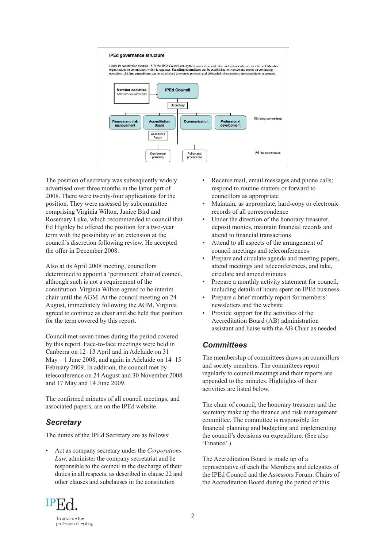

The position of secretary was subsequently widely advertised over three months in the latter part of 2008. There were twenty-four applications for the position. They were assessed by subcommittee comprising Virginia Wilton, Janice Bird and Rosemary Luke, which recommended to council that Ed Highley be offered the position for a two-year term with the possibility of an extension at the council's discretion following review. He accepted the offer in December 2008.

Also at its April 2008 meeting, councillors determined to appoint a 'permanent' chair of council, although such is not a requirement of the constitution. Virginia Wilton agreed to be interim chair until the AGM. At the council meeting on 24 August, immediately following the AGM, Virginia agreed to continue as chair and she held that position for the term covered by this report.

Council met seven times during the period covered by this report. Face-to-face meetings were held in Canberra on 12–13 April and in Adelaide on 31 May – 1 June 2008, and again in Adelaide on 14–15 February 2009. In addition, the council met by teleconference on 24 August and 30 November 2008 and 17 May and 14 June 2009.

The confirmed minutes of all council meetings, and associated papers, are on the IPEd website.

#### *Secretary*

The duties of the IPEd Secretary are as follows:

• Act as company secretary under the *Corporations Law*, administer the company secretariat and be responsible to the council in the discharge of their duties in all respects, as described in clause 22 and other clauses and subclauses in the constitution

- Receive mail, email messages and phone calls; respond to routine matters or forward to councillors as appropriate
- Maintain, as appropriate, hard-copy or electronic records of all correspondence
- Under the direction of the honorary treasurer, deposit monies, maintain financial records and attend to financial transactions
- Attend to all aspects of the arrangement of council meetings and teleconferences
- Prepare and circulate agenda and meeting papers, attend meetings and teleconferences, and take, circulate and amend minutes
- Prepare a monthly activity statement for council, including details of hours spent on IPEd business
- Prepare a brief monthly report for members' newsletters and the website
- Provide support for the activities of the Accreditation Board (AB) administration assistant and liaise with the AB Chair as needed.

#### *Committees*

The membership of committees draws on councillors and society members. The committees report regularly to council meetings and their reports are appended to the minutes. Highlights of their activities are listed below.

The chair of council, the honorary treasurer and the secretary make up the finance and risk management committee. The committee is responsible for financial planning and budgeting and implementing the council's decisions on expenditure. (See also 'Finance'.)

The Accreditation Board is made up of a representative of each the Members and delegates of the IPEd Council and the Assessors Forum. Chairs of the Accreditation Board during the period of this

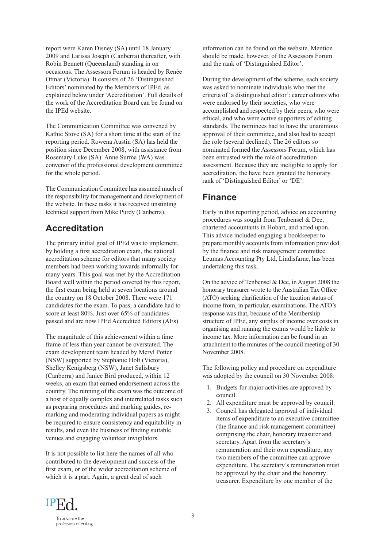report were Karen Disney (SA) until 18 January 2009 and Larissa Joseph (Canberra) thereafter, with Robin Bennett (Queensland) standing in on occasions. The Assessors Forum is headed by Renée Otmar (Victoria). It consists of 26 'Distinguished Editors' nominated by the Members of IPEd, as explained below under 'Accreditation'. Full details of the work of the Accreditation Board can be found on the IPEd website.

The Communication Committee was convened by Kathie Stove (SA) for a short time at the start of the reporting period. Rowena Austin (SA) has held the position since December 2008, with assistance from Rosemary Luke (SA). Anne Surma (WA) was convenor of the professional development committee for the whole period.

The Communication Committee has assumed much of the responsibility for management and development of the website. In these tasks it has received unstinting technical support from Mike Purdy (Canberra).

# **Accreditation**

The primary initial goal of IPEd was to implement, by holding a first accreditation exam, the national accreditation scheme for editors that many society members had been working towards informally for many years. This goal was met by the Accreditation Board well within the period covered by this report, the first exam being held at seven locations around the country on 18 October 2008. There were 171 candidates for the exam. To pass, a candidate had to score at least 80%. Just over 65% of candidates passed and are now IPEd Accredited Editors (AEs).

The magnitude of this achievement within a time frame of less than year cannot be overstated. The exam development team headed by Meryl Potter (NSW) supported by Stephanie Holt (Victoria), Shelley Kenigsberg (NSW), Janet Salisbury (Canberra) and Janice Bird produced, within 12 weeks, an exam that earned endorsement across the country. The running of the exam was the outcome of a host of equally complex and interrelated tasks such as preparing procedures and marking guides, remarking and moderating individual papers as might be required to ensure consistency and equitability in results, and even the business of finding suitable venues and engaging volunteer invigilators.

It is not possible to list here the names of all who contributed to the development and success of the first exam, or of the wider accreditation scheme of which it is a part. Again, a great deal of such

information can be found on the website. Mention should be made, however, of the Assessors Forum and the rank of 'Distinguished Editor'.

During the development of the scheme, each society was asked to nominate individuals who met the criteria of 'a distinguished editor': career editors who were endorsed by their societies, who were accomplished and respected by their peers, who were ethical, and who were active supporters of editing standards. The nominees had to have the unanimous approval of their committee, and also had to accept the role (several declined). The 26 editors so nominated formed the Assessors Forum, which has been entrusted with the role of accreditation assessment. Because they are ineligible to apply for accreditation, the have been granted the honorary rank of 'Distinguished Editor' or 'DE'.

## **Finance**

Early in this reporting period, advice on accounting procedures was sought from Tenbensel & Dee, chartered accountants in Hobart, and acted upon. This advice included engaging a bookkeeper to prepare monthly accounts from information provided by the finance and risk management committee. Leumas Accounting Pty Ltd, Lindisfarne, has been undertaking this task.

On the advice of Tenbensel & Dee, in August 2008 the honorary treasurer wrote to the Australian Tax Office (ATO) seeking clarification of the taxation status of income from, in particular, examinations. The ATO's response was that, because of the Membership structure of IPEd, any surplus of income over costs in organising and running the exams would be liable to income tax. More information can be found in an attachment to the minutes of the council meeting of 30 November 2008.

The following policy and procedure on expenditure was adopted by the council on 30 November 2008:

- 1. Budgets for major activities are approved by council.
- 2. All expenditure must be approved by council.
- 3. Council has delegated approval of individual items of expenditure to an executive committee (the finance and risk management committee) comprising the chair, honorary treasurer and secretary. Apart from the secretary's remuneration and their own expenditure, any two members of the committee can approve expenditure. The secretary's remuneration must be approved by the chair and the honorary treasurer. Expenditure by one member of the